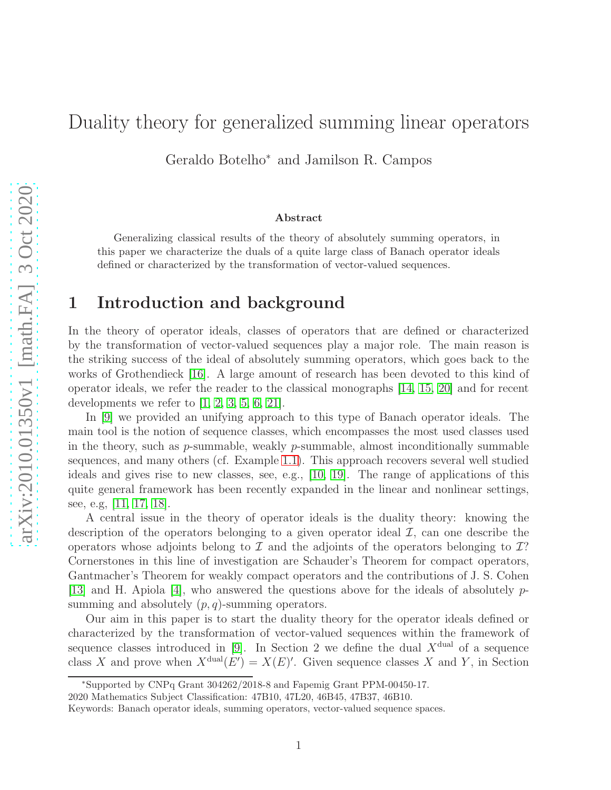# Duality theory for generalized summing linear operators

Geraldo Botelho<sup>∗</sup> and Jamilson R. Campos

#### Abstract

Generalizing classical results of the theory of absolutely summing operators, in this paper we characterize the duals of a quite large class of Banach operator ideals defined or characterized by the transformation of vector-valued sequences.

## 1 Introduction and background

In the theory of operator ideals, classes of operators that are defined or characterized by the transformation of vector-valued sequences play a major role. The main reason is the striking success of the ideal of absolutely summing operators, which goes back to the works of Grothendieck [\[16\]](#page-15-0). A large amount of research has been devoted to this kind of operator ideals, we refer the reader to the classical monographs [\[14,](#page-15-1) [15,](#page-15-2) [20\]](#page-15-3) and for recent developments we refer to  $[1, 2, 3, 5, 6, 21]$  $[1, 2, 3, 5, 6, 21]$  $[1, 2, 3, 5, 6, 21]$  $[1, 2, 3, 5, 6, 21]$  $[1, 2, 3, 5, 6, 21]$  $[1, 2, 3, 5, 6, 21]$ .

In [\[9\]](#page-14-5) we provided an unifying approach to this type of Banach operator ideals. The main tool is the notion of sequence classes, which encompasses the most used classes used in the theory, such as  $p$ -summable, weakly  $p$ -summable, almost inconditionally summable sequences, and many others (cf. Example [1.1\)](#page-1-0). This approach recovers several well studied ideals and gives rise to new classes, see, e.g., [\[10,](#page-14-6) [19\]](#page-15-5). The range of applications of this quite general framework has been recently expanded in the linear and nonlinear settings, see, e.g, [\[11,](#page-15-6) [17,](#page-15-7) [18\]](#page-15-8).

A central issue in the theory of operator ideals is the duality theory: knowing the description of the operators belonging to a given operator ideal  $I$ , can one describe the operators whose adjoints belong to  $\mathcal I$  and the adjoints of the operators belonging to  $\mathcal I$ ? Cornerstones in this line of investigation are Schauder's Theorem for compact operators, Gantmacher's Theorem for weakly compact operators and the contributions of J. S. Cohen [\[13\]](#page-15-9) and H. Apiola [\[4\]](#page-14-7), who answered the questions above for the ideals of absolutely  $p$ summing and absolutely  $(p, q)$ -summing operators.

Our aim in this paper is to start the duality theory for the operator ideals defined or characterized by the transformation of vector-valued sequences within the framework of sequence classes introduced in [\[9\]](#page-14-5). In Section 2 we define the dual  $X^{\text{dual}}$  of a sequence class X and prove when  $X^{\text{dual}}(E') = X(E)'$ . Given sequence classes X and Y, in Section

<sup>∗</sup>Supported by CNPq Grant 304262/2018-8 and Fapemig Grant PPM-00450-17.

<sup>2020</sup> Mathematics Subject Classification: 47B10, 47L20, 46B45, 47B37, 46B10.

Keywords: Banach operator ideals, summing operators, vector-valued sequence spaces.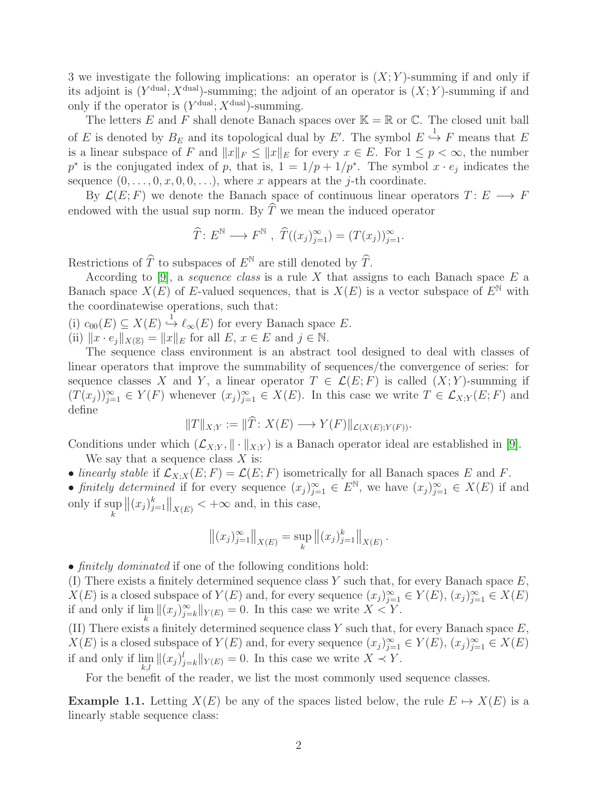3 we investigate the following implications: an operator is  $(X; Y)$ -summing if and only if its adjoint is  $(Y^{\text{dual}}; X^{\text{dual}})$ -summing; the adjoint of an operator is  $(X; Y)$ -summing if and only if the operator is  $(Y^{\text{dual}}; X^{\text{dual}})$ -summing.

The letters E and F shall denote Banach spaces over  $\mathbb{K} = \mathbb{R}$  or  $\mathbb{C}$ . The closed unit ball of E is denoted by  $B_E$  and its topological dual by E'. The symbol  $E \stackrel{1}{\hookrightarrow} F$  means that E is a linear subspace of F and  $||x||_F \le ||x||_E$  for every  $x \in E$ . For  $1 \le p < \infty$ , the number p<sup>\*</sup> is the conjugated index of p, that is,  $1 = 1/p + 1/p^*$ . The symbol  $x \cdot e_j$  indicates the sequence  $(0, \ldots, 0, x, 0, 0, \ldots)$ , where x appears at the j-th coordinate.

By  $\mathcal{L}(E; F)$  we denote the Banach space of continuous linear operators  $T: E \longrightarrow F$ endowed with the usual sup norm. By  $\widehat{T}$  we mean the induced operator

$$
\widehat{T}: E^{\mathbb{N}} \longrightarrow F^{\mathbb{N}}, \ \widehat{T}((x_j)_{j=1}^{\infty}) = (T(x_j))_{j=1}^{\infty}.
$$

Restrictions of  $\widehat{T}$  to subspaces of  $E^{\mathbb{N}}$  are still denoted by  $\widehat{T}$ .

According to  $[9]$ , a *sequence class* is a rule X that assigns to each Banach space  $E$  a Banach space  $X(E)$  of E-valued sequences, that is  $X(E)$  is a vector subspace of  $E^{\mathbb{N}}$  with the coordinatewise operations, such that:

(i)  $c_{00}(E) \subseteq X(E) \stackrel{1}{\hookrightarrow} \ell_{\infty}(E)$  for every Banach space E. (ii)  $\|x \cdot e_j\|_{X(\mathbb{E})} = \|x\|_E$  for all  $E, x \in E$  and  $j \in \mathbb{N}$ .

define

The sequence class environment is an abstract tool designed to deal with classes of linear operators that improve the summability of sequences/the convergence of series: for sequence classes X and Y, a linear operator  $T \in \mathcal{L}(E; F)$  is called  $(X; Y)$ -summing if  $(T(x_j))_{j=1}^{\infty} \in Y(F)$  whenever  $(x_j)_{j=1}^{\infty} \in X(E)$ . In this case we write  $T \in \mathcal{L}_{X,Y}(E;F)$  and

$$
||T||_{X;Y} := ||\widehat{T}: X(E) \longrightarrow Y(F)||_{\mathcal{L}(X(E);Y(F))}.
$$

Conditions under which  $(\mathcal{L}_{X;Y}, \|\cdot\|_{X;Y})$  is a Banach operator ideal are established in [\[9\]](#page-14-5). We say that a sequence class  $X$  is:

- *linearly stable* if  $\mathcal{L}_{X,X}(E; F) = \mathcal{L}(E; F)$  isometrically for all Banach spaces E and F.
- *finitely determined* if for every sequence  $(x_j)_{j=1}^{\infty} \in E^{\mathbb{N}}$ , we have  $(x_j)_{j=1}^{\infty} \in X(E)$  if and only if sup k  $||(x_j)_{j=1}^k||_{X(E)} < +\infty$  and, in this case,

$$
\left\| (x_j)_{j=1}^{\infty} \right\|_{X(E)} = \sup_k \left\| (x_j)_{j=1}^k \right\|_{X(E)}.
$$

• *finitely dominated* if one of the following conditions hold:

(I) There exists a finitely determined sequence class Y such that, for every Banach space  $E$ ,  $X(E)$  is a closed subspace of  $Y(E)$  and, for every sequence  $(x_j)_{j=1}^{\infty} \in Y(E)$ ,  $(x_j)_{j=1}^{\infty} \in X(E)$ if and only if  $\lim_{k} \|(x_j)_{j=k}^{\infty}\|_{Y(E)} = 0$ . In this case we write  $X \leq Y$ .

(II) There exists a finitely determined sequence class  $Y$  such that, for every Banach space  $E$ ,  $X(E)$  is a closed subspace of  $Y(E)$  and, for every sequence  $(x_j)_{j=1}^{\infty} \in Y(E)$ ,  $(x_j)_{j=1}^{\infty} \in X(E)$ if and only if  $\lim_{k,l} \|(x_j)_{j=k}^l\|_{Y(E)} = 0$ . In this case we write  $X \prec Y$ .

For the benefit of the reader, we list the most commonly used sequence classes.

<span id="page-1-0"></span>**Example 1.1.** Letting  $X(E)$  be any of the spaces listed below, the rule  $E \mapsto X(E)$  is a linearly stable sequence class: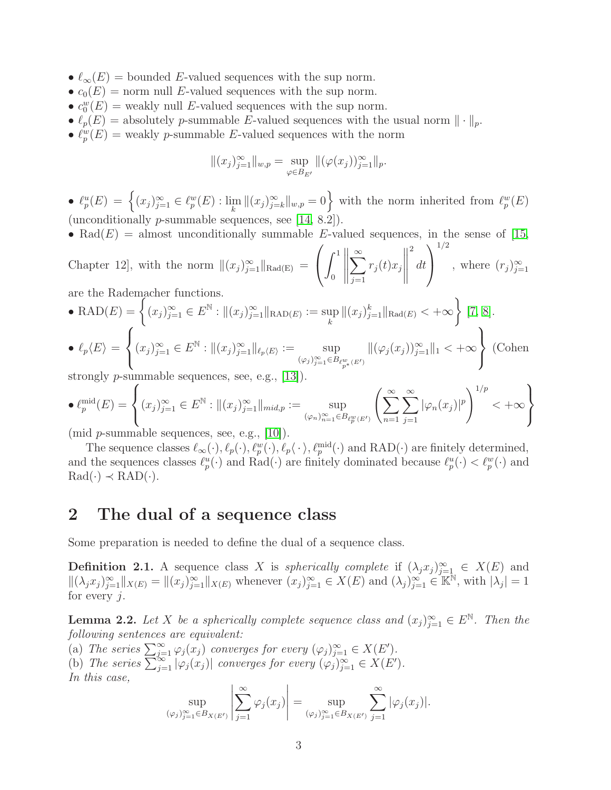- $\ell_{\infty}(E)$  = bounded E-valued sequences with the sup norm.
- $c_0(E)$  = norm null E-valued sequences with the sup norm.
- $c_0^w(E)$  = weakly null E-valued sequences with the sup norm.
- $\ell_p(E) =$  absolutely p-summable E-valued sequences with the usual norm  $\|\cdot\|_p$ .
- $\ell_p^w(E)$  = weakly *p*-summable *E*-valued sequences with the norm

$$
||(x_j)_{j=1}^{\infty}||_{w,p} = \sup_{\varphi \in B_{E'}} ||(\varphi(x_j))_{j=1}^{\infty}||_p.
$$

- $\ell_p^u(E) = \left\{ (x_j)_{j=1}^\infty \in \ell_p^w(E) : \lim_k ||(x_j)_{j=k}^\infty||_{w,p} = 0 \right\}$  with the norm inherited from  $\ell_p^w(E)$ (unconditionally p-summable sequences, see [\[14,](#page-15-1) 8.2]).
- Rad $(E)$  = almost unconditionally summable E-valued sequences, in the sense of [\[15,](#page-15-2)

Chapter 12, with the norm  $||(x_j)_{j=1}^{\infty}||_{\text{Rad}(E)} =$  $\sqrt{ }$  $\mathbf{I}$  $\int_1^1$ 0  $\sum^{\infty}$  $j=1$  $r_j(t)x_j$  2 dt  $\setminus$  $\overline{1}$ 1/2 , where  $(r_j)_{j=1}^{\infty}$ 

are the Rademacher functions.  
\n• RAD(E) = 
$$
\left\{ (x_j)_{j=1}^{\infty} \in E^{\mathbb{N}} : \|(x_j)_{j=1}^{\infty}\|_{\text{RAD}(E)} := \sup_k \|(x_j)_{j=1}^k\|_{\text{Rad}(E)} < +\infty \right\} [7, 8].
$$

$$
\bullet \ell_p \langle E \rangle = \left\{ (x_j)_{j=1}^{\infty} \in E^{\mathbb{N}} : \|(x_j)_{j=1}^{\infty}\|_{\ell_p \langle E \rangle} := \sup_{(\varphi_j)_{j=1}^{\infty} \in B_{\ell_p^w}(E')} \|(\varphi_j(x_j))_{j=1}^{\infty}\|_1 < +\infty \right\}
$$
 (Cohen

strongly p-summable sequences, see, e.g., [\[13\]](#page-15-9)).

$$
\bullet \ell_p^{\text{mid}}(E) = \left\{ (x_j)_{j=1}^{\infty} \in E^{\mathbb{N}} : \|(x_j)_{j=1}^{\infty}\|_{\text{mid},p} := \sup_{(\varphi_n)_{n=1}^{\infty} \in B_{\ell_p^w(E')}} \left( \sum_{n=1}^{\infty} \sum_{j=1}^{\infty} |\varphi_n(x_j)|^p \right)^{1/p} < +\infty \right\}
$$

(mid  $p$ -summable sequences, see, e.g.,  $[10]$ ).

The sequence classes  $\ell_{\infty}(\cdot), \ell_{p}(\cdot), \ell_{p}^w(\cdot), \ell_{p}^{\vee}(\cdot), \ell_{p}^{\text{mid}}(\cdot)$  and  $\text{RAD}(\cdot)$  are finitely determined, and the sequences classes  $\ell_p^u(\cdot)$  and  $\text{Rad}(\cdot)$  are finitely dominated because  $\ell_p^u(\cdot) < \ell_p^w(\cdot)$  and  $Rad(\cdot) \prec RAD(\cdot)$ .

### 2 The dual of a sequence class

Some preparation is needed to define the dual of a sequence class.

**Definition 2.1.** A sequence class X is *spherically complete* if  $(\lambda_j x_j)_{j=1}^{\infty} \in X(E)$  and  $\|(\lambda_j x_j)_{j=1}^\infty\|_{X(E)} = \|(x_j)_{j=1}^\infty\|_{X(E)}$  whenever  $(x_j)_{j=1}^\infty \in X(E)$  and  $(\lambda_j)_{j=1}^\infty \in \mathbb{K}^{\mathbb{N}},$  with  $|\lambda_j| = 1$ for every  $j$ .

<span id="page-2-0"></span>**Lemma 2.2.** Let X be a spherically complete sequence class and  $(x_j)_{j=1}^{\infty} \in E^{\mathbb{N}}$ . Then the *following sentences are equivalent:*

(a) *The series*  $\sum_{j=1}^{\infty} \varphi_j(x_j)$  *converges for every*  $(\varphi_j)_{j=1}^{\infty} \in X(E')$ *.* 

(b) The series  $\sum_{j=1}^{\infty} |\varphi_j(x_j)|$  converges for every  $(\varphi_j)_{j=1}^{\infty} \in X(E')$ .

*In this case,*

$$
\sup_{(\varphi_j)_{j=1}^\infty\in B_{X(E')}}\left|\sum_{j=1}^\infty\varphi_j(x_j)\right|=\sup_{(\varphi_j)_{j=1}^\infty\in B_{X(E')}}\sum_{j=1}^\infty|\varphi_j(x_j)|.
$$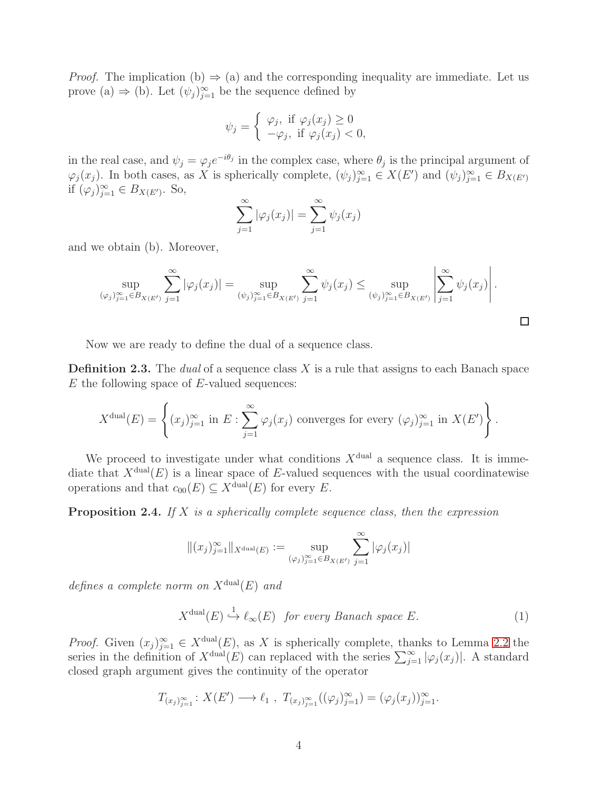*Proof.* The implication (b)  $\Rightarrow$  (a) and the corresponding inequality are immediate. Let us prove (a)  $\Rightarrow$  (b). Let  $(\psi_j)_{j=1}^{\infty}$  be the sequence defined by

$$
\psi_j = \begin{cases} \varphi_j, & \text{if } \varphi_j(x_j) \ge 0 \\ -\varphi_j, & \text{if } \varphi_j(x_j) < 0, \end{cases}
$$

in the real case, and  $\psi_j = \varphi_j e^{-i\theta_j}$  in the complex case, where  $\theta_j$  is the principal argument of  $\varphi_j(x_j)$ . In both cases, as X is spherically complete,  $(\psi_j)_{j=1}^{\infty} \in X(E')$  and  $(\psi_j)_{j=1}^{\infty} \in B_{X(E')}$ if  $(\varphi_j)_{j=1}^{\infty} \in B_{X(E')}$ . So,

$$
\sum_{j=1}^{\infty} |\varphi_j(x_j)| = \sum_{j=1}^{\infty} \psi_j(x_j)
$$

and we obtain (b). Moreover,

$$
\sup_{(\varphi_j)_{j=1}^{\infty}\in B_{X(E')}} \sum_{j=1}^{\infty} |\varphi_j(x_j)| = \sup_{(\psi_j)_{j=1}^{\infty}\in B_{X(E')}} \sum_{j=1}^{\infty} \psi_j(x_j) \le \sup_{(\psi_j)_{j=1}^{\infty}\in B_{X(E')}} \left| \sum_{j=1}^{\infty} \psi_j(x_j) \right|.
$$

 $\Box$ 

Now we are ready to define the dual of a sequence class.

Definition 2.3. The *dual* of a sequence class X is a rule that assigns to each Banach space  $E$  the following space of  $E$ -valued sequences:

$$
X^{\text{dual}}(E) = \left\{ (x_j)_{j=1}^{\infty} \text{ in } E : \sum_{j=1}^{\infty} \varphi_j(x_j) \text{ converges for every } (\varphi_j)_{j=1}^{\infty} \text{ in } X(E') \right\}.
$$

We proceed to investigate under what conditions  $X^{\text{dual}}$  a sequence class. It is immediate that  $X^{\text{dual}}(E)$  is a linear space of E-valued sequences with the usual coordinatewise operations and that  $c_{00}(E) \subseteq X^{\text{dual}}(E)$  for every E.

Proposition 2.4. *If* X *is a spherically complete sequence class, then the expression*

$$
\|(x_j)_{j=1}^\infty\|_{X^{\operatorname{dual}}(E)}:=\sup_{(\varphi_j)_{j=1}^\infty\in B_{X(E')}}\sum_{j=1}^\infty |\varphi_j(x_j)|
$$

*defines a complete norm on*  $X^{\text{dual}}(E)$  *and* 

<span id="page-3-0"></span>
$$
X^{\text{dual}}(E) \stackrel{1}{\hookrightarrow} \ell_{\infty}(E) \quad \text{for every Banach space } E. \tag{1}
$$

*Proof.* Given  $(x_j)_{j=1}^{\infty} \in X^{\text{dual}}(E)$ , as X is spherically complete, thanks to Lemma [2.2](#page-2-0) the series in the definition of  $X^{\text{dual}}(E)$  can replaced with the series  $\sum_{j=1}^{\infty} |\varphi_j(x_j)|$ . A standard closed graph argument gives the continuity of the operator

$$
T_{(x_j)_{j=1}^{\infty}}: X(E') \longrightarrow \ell_1 , T_{(x_j)_{j=1}^{\infty}}((\varphi_j)_{j=1}^{\infty}) = (\varphi_j(x_j))_{j=1}^{\infty}.
$$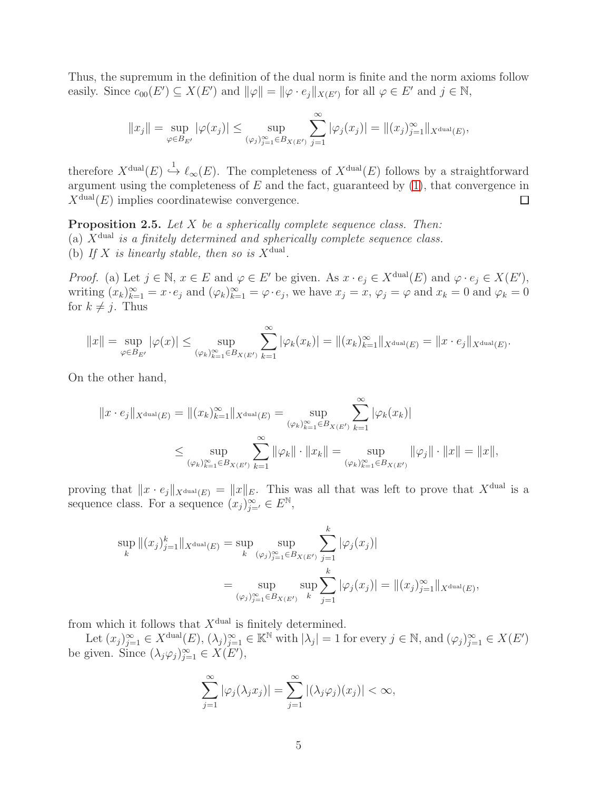Thus, the supremum in the definition of the dual norm is finite and the norm axioms follow easily. Since  $c_{00}(E') \subseteq X(E')$  and  $\|\varphi\| = \|\varphi \cdot e_j\|_{X(E')}$  for all  $\varphi \in E'$  and  $j \in \mathbb{N}$ ,

$$
||x_j|| = \sup_{\varphi \in B_{E'}} |\varphi(x_j)| \le \sup_{(\varphi_j)_{j=1}^{\infty} \in B_{X(E')}} \sum_{j=1}^{\infty} |\varphi_j(x_j)| = ||(x_j)_{j=1}^{\infty}||_{X^{\text{dual}}(E)},
$$

therefore  $X^{\text{dual}}(E) \stackrel{1}{\hookrightarrow} \ell_{\infty}(E)$ . The completeness of  $X^{\text{dual}}(E)$  follows by a straightforward argument using the completeness of  $E$  and the fact, guaranteed by  $(1)$ , that convergence in  $X^{\text{dual}}(E)$  implies coordinatewise convergence.  $\Box$ 

<span id="page-4-0"></span>Proposition 2.5. *Let* X *be a spherically complete sequence class. Then:* (a) Xdual *is a finitely determined and spherically complete sequence class.* (b) If X is linearly stable, then so is  $X^{\text{dual}}$ .

*Proof.* (a) Let  $j \in \mathbb{N}$ ,  $x \in E$  and  $\varphi \in E'$  be given. As  $x \cdot e_j \in X^{\text{dual}}(E)$  and  $\varphi \cdot e_j \in X(E')$ , writing  $(x_k)_{k=1}^{\infty} = x \cdot e_j$  and  $(\varphi_k)_{k=1}^{\infty} = \varphi \cdot e_j$ , we have  $x_j = x$ ,  $\varphi_j = \varphi$  and  $x_k = 0$  and  $\varphi_k = 0$ for  $k \neq j$ . Thus

$$
||x|| = \sup_{\varphi \in B_{E'}} |\varphi(x)| \le \sup_{(\varphi_k)_{k=1}^{\infty} \in B_{X(E')}} \sum_{k=1}^{\infty} |\varphi_k(x_k)| = ||(x_k)_{k=1}^{\infty}||_{X^{\text{dual}}(E)} = ||x \cdot e_j||_{X^{\text{dual}}(E)}.
$$

On the other hand,

$$
||x \cdot e_j||_{X^{\text{dual}}(E)} = ||(x_k)_{k=1}^{\infty}||_{X^{\text{dual}}(E)} = \sup_{(\varphi_k)_{k=1}^{\infty} \in B_{X(E')}} \sum_{k=1}^{\infty} |\varphi_k(x_k)|
$$
  

$$
\leq \sup_{(\varphi_k)_{k=1}^{\infty} \in B_{X(E')}} \sum_{k=1}^{\infty} ||\varphi_k|| \cdot ||x_k|| = \sup_{(\varphi_k)_{k=1}^{\infty} \in B_{X(E')}} ||\varphi_j|| \cdot ||x|| = ||x||,
$$

proving that  $||x \cdot e_j||_{X^{\text{dual}}(E)} = ||x||_E$ . This was all that was left to prove that  $X^{\text{dual}}$  is a sequence class. For a sequence  $(x_j)_{j=1}^{\infty} \in E^{\mathbb{N}},$ 

$$
\sup_{k} \|(x_{j})_{j=1}^{k}\|_{X^{\text{dual}}(E)} = \sup_{k} \sup_{(\varphi_{j})_{j=1}^{\infty} \in B_{X(E')}} \sum_{j=1}^{k} |\varphi_{j}(x_{j})|
$$
  

$$
= \sup_{(\varphi_{j})_{j=1}^{\infty} \in B_{X(E')}} \sup_{k} \sum_{j=1}^{k} |\varphi_{j}(x_{j})| = \|(x_{j})_{j=1}^{\infty}\|_{X^{\text{dual}}(E)},
$$

from which it follows that  $X^{\text{dual}}$  is finitely determined.

Let  $(x_j)_{j=1}^{\infty} \in X^{\text{dual}}(E)$ ,  $(\lambda_j)_{j=1}^{\infty} \in \mathbb{K}^{\mathbb{N}}$  with  $|\lambda_j|=1$  for every  $j \in \mathbb{N}$ , and  $(\varphi_j)_{j=1}^{\infty} \in X(E')$ be given. Since  $(\lambda_j \varphi_j)_{j=1}^{\infty} \in X(E')$ ,

$$
\sum_{j=1}^{\infty} |\varphi_j(\lambda_j x_j)| = \sum_{j=1}^{\infty} |(\lambda_j \varphi_j)(x_j)| < \infty,
$$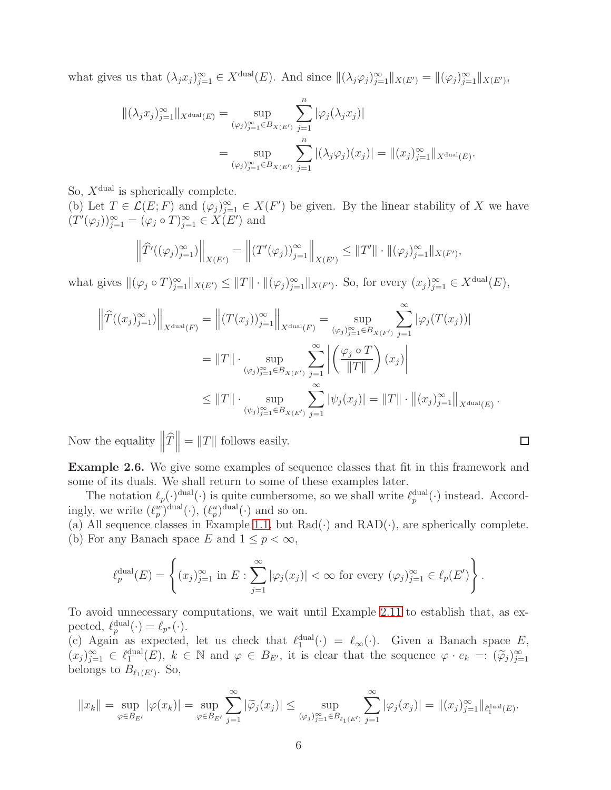what gives us that  $(\lambda_j x_j)_{j=1}^{\infty} \in X^{\text{dual}}(E)$ . And since  $\|(\lambda_j \varphi_j)_{j=1}^{\infty}\|_{X(E')} = \|(\varphi_j)_{j=1}^{\infty}\|_{X(E')}$ ,

$$
\begin{aligned} \|(\lambda_j x_j)_{j=1}^{\infty} \|_{X^{\text{dual}}(E)} &= \sup_{(\varphi_j)_{j=1}^{\infty} \in B_{X(E')}} \sum_{j=1}^n |\varphi_j(\lambda_j x_j)| \\ &= \sup_{(\varphi_j)_{j=1}^{\infty} \in B_{X(E')}} \sum_{j=1}^n |(\lambda_j \varphi_j)(x_j)| = \| (x_j)_{j=1}^{\infty} \|_{X^{\text{dual}}(E)} .\end{aligned}
$$

So,  $X^{\text{dual}}$  is spherically complete.

(b) Let  $T \in \mathcal{L}(E; F)$  and  $(\varphi_j)_{j=1}^{\infty} \in X(F')$  be given. By the linear stability of X we have  $(T'(\varphi_j))_{j=1}^{\infty} = (\varphi_j \circ T)_{j=1}^{\infty} \in X(E')$  and

$$
\left\| \widehat{T}'((\varphi_j)_{j=1}^{\infty}) \right\|_{X(E')} = \left\| (T'(\varphi_j))_{j=1}^{\infty} \right\|_{X(E')} \leq \|T'\| \cdot \|(\varphi_j)_{j=1}^{\infty} \|_{X(F')} ,
$$

what gives  $\|(\varphi_j \circ T)_{j=1}^{\infty}\|_{X(E')} \leq \|T\| \cdot \|(\varphi_j)_{j=1}^{\infty}\|_{X(F')}$ . So, for every  $(x_j)_{j=1}^{\infty} \in X^{\text{dual}}(E)$ ,

$$
\left\| \widehat{T}((x_j)_{j=1}^{\infty}) \right\|_{X^{\text{dual}}(F)} = \left\| (T(x_j))_{j=1}^{\infty} \right\|_{X^{\text{dual}}(F)} = \sup_{(\varphi_j)_{j=1}^{\infty} \in B_{X(F')}} \sum_{j=1}^{\infty} |\varphi_j(T(x_j))|
$$
  

$$
= \|T\| \cdot \sup_{(\varphi_j)_{j=1}^{\infty} \in B_{X(F')}} \sum_{j=1}^{\infty} \left| \left( \frac{\varphi_j \circ T}{\|T\|} \right) (x_j) \right|
$$
  

$$
\leq \|T\| \cdot \sup_{(\psi_j)_{j=1}^{\infty} \in B_{X(E')}} \sum_{j=1}^{\infty} |\psi_j(x_j)| = \|T\| \cdot \left\| (x_j)_{j=1}^{\infty} \right\|_{X^{\text{dual}}(E)}
$$

Now the equality  $\left\|\widehat{T}\right\| = \|T\|$  follows easily.

<span id="page-5-0"></span>Example 2.6. We give some examples of sequence classes that fit in this framework and some of its duals. We shall return to some of these examples later.

The notation  $\ell_p(\cdot)$  dual( $\cdot$ ) is quite cumbersome, so we shall write  $\ell_p^{\text{dual}}(\cdot)$  instead. Accordingly, we write  $(\ell_p^w)^{\text{dual}}(\cdot)$ ,  $(\ell_p^u)^{\text{dual}}(\cdot)$  and so on.

(a) All sequence classes in Example [1.1,](#page-1-0) but  $Rad(\cdot)$  and  $RAD(\cdot)$ , are spherically complete. (b) For any Banach space E and  $1 \leq p < \infty$ ,

$$
\ell_p^{\text{dual}}(E) = \left\{ (x_j)_{j=1}^{\infty} \text{ in } E : \sum_{j=1}^{\infty} |\varphi_j(x_j)| < \infty \text{ for every } (\varphi_j)_{j=1}^{\infty} \in \ell_p(E') \right\}.
$$

To avoid unnecessary computations, we wait until Example [2.11](#page-9-0) to establish that, as expected,  $\ell_p^{\text{dual}}(\cdot) = \ell_{p^*}(\cdot)$ .

(c) Again as expected, let us check that  $\ell_1^{\text{dual}}(\cdot) = \ell_\infty(\cdot)$ . Given a Banach space E,  $(x_j)_{j=1}^{\infty} \in \ell_j^{\text{dual}}(E), k \in \mathbb{N}$  and  $\varphi \in B_{E'}$ , it is clear that the sequence  $\varphi \cdot e_k =: (\tilde{\varphi}_j)_{j=1}^{\infty}$ belongs to  $B_{\ell_1(E')}$ . So,

$$
||x_k|| = \sup_{\varphi \in B_{E'}} |\varphi(x_k)| = \sup_{\varphi \in B_{E'}} \sum_{j=1}^{\infty} |\widetilde{\varphi}_j(x_j)| \le \sup_{(\varphi_j)_{j=1}^{\infty} \in B_{\ell_1(E')}} \sum_{j=1}^{\infty} |\varphi_j(x_j)| = ||(x_j)_{j=1}^{\infty}||_{\ell_1^{\text{dual}}(E)}.
$$

.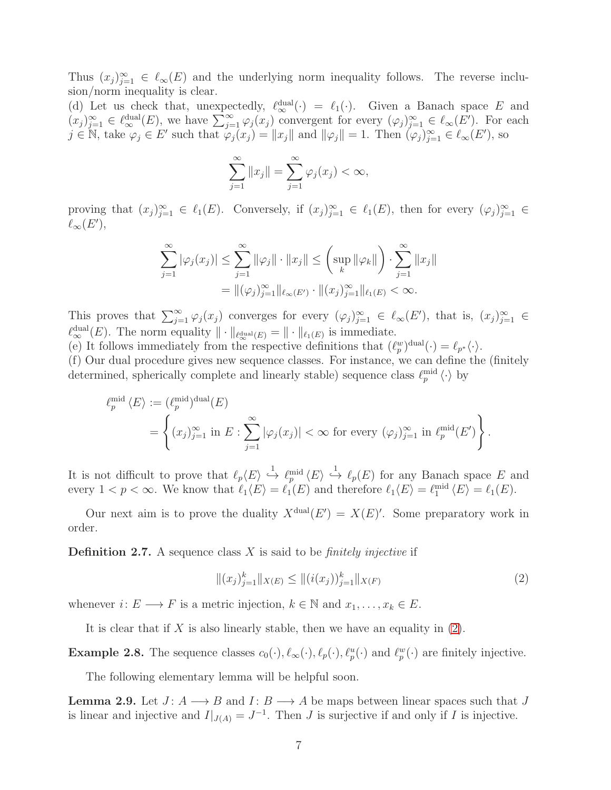Thus  $(x_j)_{j=1}^{\infty} \in \ell_{\infty}(E)$  and the underlying norm inequality follows. The reverse inclusion/norm inequality is clear.

(d) Let us check that, unexpectedly,  $\ell_{\infty}^{\text{dual}}(\cdot) = \ell_1(\cdot)$ . Given a Banach space E and  $(x_j)_{j=1}^{\infty} \in \ell_{\infty}^{\text{dual}}(E)$ , we have  $\sum_{j=1}^{\infty} \varphi_j(x_j)$  convergent for every  $(\varphi_j)_{j=1}^{\infty} \in \ell_{\infty}(E')$ . For each  $j \in \mathbb{N}$ , take  $\varphi_j \in E'$  such that  $\varphi_j(x_j) = ||x_j||$  and  $||\varphi_j|| = 1$ . Then  $(\varphi_j)_{j=1}^{\infty} \in \ell_\infty(E')$ , so

$$
\sum_{j=1}^{\infty} ||x_j|| = \sum_{j=1}^{\infty} \varphi_j(x_j) < \infty,
$$

proving that  $(x_j)_{j=1}^\infty \in \ell_1(E)$ . Conversely, if  $(x_j)_{j=1}^\infty \in \ell_1(E)$ , then for every  $(\varphi_j)_{j=1}^\infty \in$  $\ell_{\infty}(E'),$ 

$$
\sum_{j=1}^{\infty} |\varphi_j(x_j)| \leq \sum_{j=1}^{\infty} ||\varphi_j|| \cdot ||x_j|| \leq \left(\sup_k ||\varphi_k||\right) \cdot \sum_{j=1}^{\infty} ||x_j||
$$
  
=  $||(\varphi_j)_{j=1}^{\infty}||_{\ell_{\infty}(E')} \cdot ||(x_j)_{j=1}^{\infty}||_{\ell_1(E)} < \infty.$ 

This proves that  $\sum_{j=1}^{\infty} \varphi_j(x_j)$  converges for every  $(\varphi_j)_{j=1}^{\infty} \in \ell_\infty(E')$ , that is,  $(x_j)_{j=1}^{\infty} \in$  $\ell_{\infty}^{\text{dual}}(E)$ . The norm equality  $\|\cdot\|_{\ell_{\infty}^{\text{dual}}(E)} = \|\cdot\|_{\ell_1(E)}$  is immediate.

(e) It follows immediately from the respective definitions that  $(\ell_p^w)^{\text{dual}}(\cdot) = \ell_{p^*}\langle \cdot \rangle$ .

(f) Our dual procedure gives new sequence classes. For instance, we can define the (finitely determined, spherically complete and linearly stable) sequence class  $\ell_p^{\text{mid}} \langle \cdot \rangle$  by

$$
\ell_p^{\text{mid}} \langle E \rangle := (\ell_p^{\text{mid}})^{\text{dual}}(E)
$$
  
= 
$$
\left\{ (x_j)_{j=1}^{\infty} \text{ in } E : \sum_{j=1}^{\infty} |\varphi_j(x_j)| < \infty \text{ for every } (\varphi_j)_{j=1}^{\infty} \text{ in } \ell_p^{\text{mid}}(E') \right\}.
$$

It is not difficult to prove that  $\ell_p\langle E\rangle \stackrel{1}{\hookrightarrow} \ell_p^{\text{mid}}\langle E\rangle \stackrel{1}{\hookrightarrow} \ell_p(E)$  for any Banach space E and every  $1 < p < \infty$ . We know that  $\ell_1 \langle E \rangle = \ell_1(E)$  and therefore  $\ell_1 \langle E \rangle = \ell_1^{\text{mid}} \langle E \rangle = \ell_1(E)$ .

Our next aim is to prove the duality  $X^{\text{dual}}(E') = X(E)'$ . Some preparatory work in order.

Definition 2.7. A sequence class X is said to be *finitely injective* if

<span id="page-6-0"></span>
$$
\|(x_j)_{j=1}^k\|_{X(E)} \le \|(i(x_j))_{j=1}^k\|_{X(F)}\tag{2}
$$

whenever  $i: E \longrightarrow F$  is a metric injection,  $k \in \mathbb{N}$  and  $x_1, \ldots, x_k \in E$ .

It is clear that if X is also linearly stable, then we have an equality in  $(2)$ .

**Example 2.8.** The sequence classes  $c_0(\cdot), \ell_\infty(\cdot), \ell_p(\cdot), \ell_p^u(\cdot)$  and  $\ell_p^w(\cdot)$  are finitely injective.

The following elementary lemma will be helpful soon.

<span id="page-6-1"></span>**Lemma 2.9.** Let  $J: A \longrightarrow B$  and  $I: B \longrightarrow A$  be maps between linear spaces such that J is linear and injective and  $I|_{J(A)} = J^{-1}$ . Then J is surjective if and only if I is injective.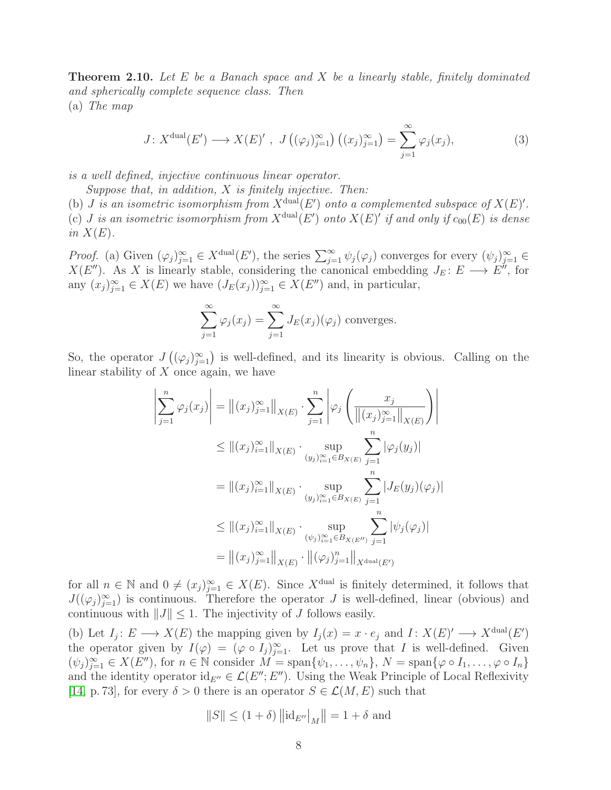<span id="page-7-0"></span>Theorem 2.10. *Let* E *be a Banach space and* X *be a linearly stable, finitely dominated and spherically complete sequence class. Then* (a) *The map*

$$
J: X^{\text{dual}}(E') \longrightarrow X(E)' , J\left( (\varphi_j)_{j=1}^{\infty} \right) \left( (x_j)_{j=1}^{\infty} \right) = \sum_{j=1}^{\infty} \varphi_j(x_j), \tag{3}
$$

*is a well defined, injective continuous linear operator.*

*Suppose that, in addition,* X *is finitely injective. Then:*

(b) *J* is an isometric isomorphism from  $X^{\text{dual}}(E')$  onto a complemented subspace of  $X(E)'$ . (c) *J* is an isometric isomorphism from  $X^{\text{dual}}(E')$  onto  $X(E)'$  if and only if  $c_{00}(E)$  is dense *in*  $X(E)$ *.* 

*Proof.* (a) Given  $(\varphi_j)_{j=1}^{\infty} \in X^{\text{dual}}(E')$ , the series  $\sum_{j=1}^{\infty} \psi_j(\varphi_j)$  converges for every  $(\psi_j)_{j=1}^{\infty} \in X$  $X(E'')$ . As X is linearly stable, considering the canonical embedding  $J_E: E \longrightarrow E''$ , for any  $(x_j)_{j=1}^{\infty} \in X(E)$  we have  $(J_E(x_j))_{j=1}^{\infty} \in X(E'')$  and, in particular,

<span id="page-7-1"></span>
$$
\sum_{j=1}^{\infty} \varphi_j(x_j) = \sum_{j=1}^{\infty} J_E(x_j)(\varphi_j)
$$
 converges.

So, the operator  $J((\varphi_j)_{j=1}^{\infty})$  is well-defined, and its linearity is obvious. Calling on the linear stability of  $X$  once again, we have

$$
\left| \sum_{j=1}^{n} \varphi_{j}(x_{j}) \right| = \left\| (x_{j})_{j=1}^{\infty} \right\|_{X(E)} \cdot \sum_{j=1}^{n} \left| \varphi_{j} \left( \frac{x_{j}}{\left\| (x_{j})_{j=1}^{\infty} \right\|_{X(E)}} \right) \right|
$$
  
\n
$$
\leq \left\| (x_{j})_{i=1}^{\infty} \right\|_{X(E)} \cdot \sup_{(y_{j})_{i=1}^{\infty} \in B_{X(E)}} \sum_{j=1}^{n} |\varphi_{j}(y_{j})|
$$
  
\n
$$
= \left\| (x_{j})_{i=1}^{\infty} \right\|_{X(E)} \cdot \sup_{(y_{j})_{i=1}^{\infty} \in B_{X(E)}} \sum_{j=1}^{n} |J_{E}(y_{j})(\varphi_{j})|
$$
  
\n
$$
\leq \left\| (x_{j})_{i=1}^{\infty} \right\|_{X(E)} \cdot \sup_{(\psi_{j})_{i=1}^{\infty} \in B_{X(E'')}} \sum_{j=1}^{n} |\psi_{j}(\varphi_{j})|
$$
  
\n
$$
= \left\| (x_{j})_{j=1}^{\infty} \right\|_{X(E)} \cdot \left\| (\varphi_{j})_{j=1}^{n} \right\|_{X^{\text{dual}}(E')}
$$

for all  $n \in \mathbb{N}$  and  $0 \neq (x_j)_{j=1}^{\infty} \in X(E)$ . Since X<sup>dual</sup> is finitely determined, it follows that  $J((\varphi_j)_{j=1}^\infty)$  is continuous. Therefore the operator J is well-defined, linear (obvious) and continuous with  $||J|| \leq 1$ . The injectivity of J follows easily.

(b) Let  $I_j: E \longrightarrow X(E)$  the mapping given by  $I_j(x) = x \cdot e_j$  and  $I: X(E)' \longrightarrow X^{\text{dual}}(E')$ the operator given by  $I(\varphi) = (\varphi \circ I_j)_{j=1}^{\infty}$ . Let us prove that I is well-defined. Given  $(\psi_j)_{j=1}^{\infty} \in X(E'')$ , for  $n \in \mathbb{N}$  consider  $M = \text{span}\{\psi_1, \ldots, \psi_n\}, N = \text{span}\{\varphi \circ I_1, \ldots, \varphi \circ I_n\}$ and the identity operator  $id_{E''} \in \mathcal{L}(E''; E'')$ . Using the Weak Principle of Local Reflexivity [\[14,](#page-15-1) p. 73], for every  $\delta > 0$  there is an operator  $S \in \mathcal{L}(M, E)$  such that

$$
\left\|S\right\|\leq (1+\delta)\left\|\mathrm{id}_{E''}\right\|_M\right\|=1+\delta
$$
 and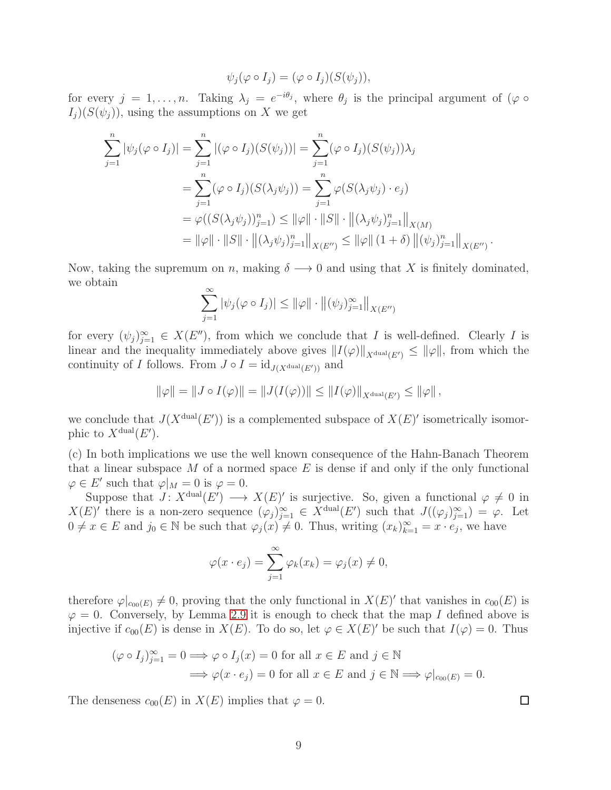$$
\psi_j(\varphi \circ I_j) = (\varphi \circ I_j)(S(\psi_j)),
$$

for every  $j = 1, \ldots, n$ . Taking  $\lambda_j = e^{-i\theta_j}$ , where  $\theta_j$  is the principal argument of  $(\varphi \circ$  $I_j$ )( $S(\psi_j)$ ), using the assumptions on X we get

$$
\sum_{j=1}^{n} |\psi_j(\varphi \circ I_j)| = \sum_{j=1}^{n} |(\varphi \circ I_j)(S(\psi_j))| = \sum_{j=1}^{n} (\varphi \circ I_j)(S(\psi_j))\lambda_j
$$
  
= 
$$
\sum_{j=1}^{n} (\varphi \circ I_j)(S(\lambda_j \psi_j)) = \sum_{j=1}^{n} \varphi(S(\lambda_j \psi_j) \cdot e_j)
$$
  
= 
$$
\varphi((S(\lambda_j \psi_j))_{j=1}^n) \le ||\varphi|| \cdot ||S|| \cdot ||(\lambda_j \psi_j)_{j=1}^n||_{X(M)}
$$
  
= 
$$
||\varphi|| \cdot ||S|| \cdot ||(\lambda_j \psi_j)_{j=1}^n||_{X(E'')} \le ||\varphi|| (1 + \delta) ||(\psi_j)_{j=1}^n||_{X(E'')}.
$$

Now, taking the supremum on n, making  $\delta \longrightarrow 0$  and using that X is finitely dominated, we obtain

$$
\sum_{j=1}^{\infty} |\psi_j(\varphi \circ I_j)| \le ||\varphi|| \cdot ||(\psi_j)_{j=1}^{\infty}||_{X(E'')}
$$

for every  $(\psi_j)_{j=1}^{\infty} \in X(E'')$ , from which we conclude that I is well-defined. Clearly I is linear and the inequality immediately above gives  $||I(\varphi)||_{X^{\text{dual}}(E')} \leq ||\varphi||$ , from which the continuity of I follows. From  $J \circ I = id_{J(X^{\text{dual}}(E'))}$  and

$$
\|\varphi\| = \|J \circ I(\varphi)\| = \|J(I(\varphi))\| \le \|I(\varphi)\|_{X^{\text{dual}}(E')} \le \|\varphi\|,
$$

we conclude that  $J(X^{\text{dual}}(E'))$  is a complemented subspace of  $X(E)'$  isometrically isomorphic to  $X^{\text{dual}}(E')$ .

(c) In both implications we use the well known consequence of the Hahn-Banach Theorem that a linear subspace  $M$  of a normed space  $E$  is dense if and only if the only functional  $\varphi \in E'$  such that  $\varphi|_M = 0$  is  $\varphi = 0$ .

Suppose that  $J: X^{\text{dual}}(E') \longrightarrow X(E)'$  is surjective. So, given a functional  $\varphi \neq 0$  in  $X(E)'$  there is a non-zero sequence  $(\varphi_j)_{j=1}^{\infty} \in X^{\text{dual}}(E')$  such that  $J((\varphi_j)_{j=1}^{\infty}) = \varphi$ . Let  $0 \neq x \in E$  and  $j_0 \in \mathbb{N}$  be such that  $\varphi_j(x) \neq 0$ . Thus, writing  $(x_k)_{k=1}^\infty = x \cdot e_j$ , we have

$$
\varphi(x \cdot e_j) = \sum_{j=1}^{\infty} \varphi_k(x_k) = \varphi_j(x) \neq 0,
$$

therefore  $\varphi|_{c_{00}(E)} \neq 0$ , proving that the only functional in  $X(E)'$  that vanishes in  $c_{00}(E)$  is  $\varphi = 0$ . Conversely, by Lemma [2.9](#page-6-1) it is enough to check that the map I defined above is injective if  $c_{00}(E)$  is dense in  $X(E)$ . To do so, let  $\varphi \in X(E)'$  be such that  $I(\varphi) = 0$ . Thus

$$
(\varphi \circ I_j)_{j=1}^{\infty} = 0 \Longrightarrow \varphi \circ I_j(x) = 0 \text{ for all } x \in E \text{ and } j \in \mathbb{N}
$$

$$
\Longrightarrow \varphi(x \cdot e_j) = 0 \text{ for all } x \in E \text{ and } j \in \mathbb{N} \Longrightarrow \varphi|_{c_{00}(E)} = 0.
$$

The denseness  $c_{00}(E)$  in  $X(E)$  implies that  $\varphi = 0$ .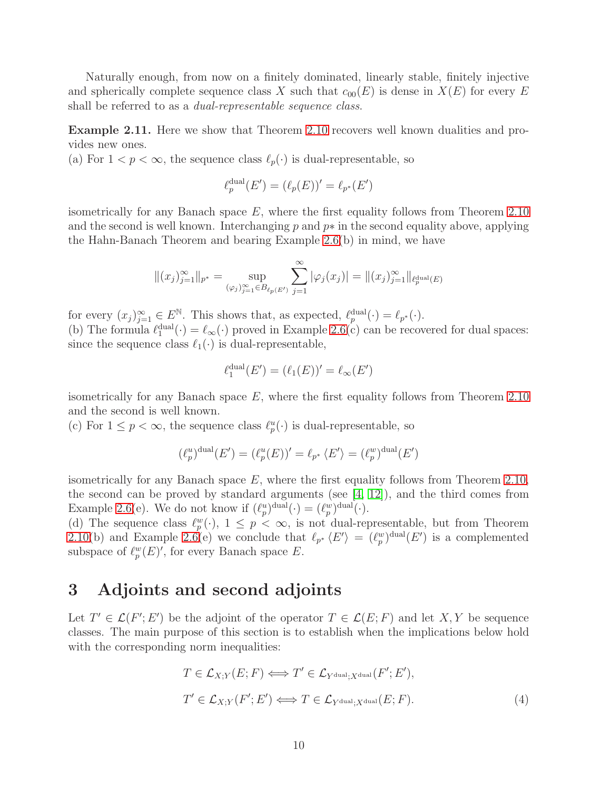Naturally enough, from now on a finitely dominated, linearly stable, finitely injective and spherically complete sequence class X such that  $c_{00}(E)$  is dense in  $X(E)$  for every E shall be referred to as a *dual-representable sequence class*.

<span id="page-9-0"></span>Example 2.11. Here we show that Theorem [2.10](#page-7-0) recovers well known dualities and provides new ones.

(a) For  $1 < p < \infty$ , the sequence class  $\ell_p(\cdot)$  is dual-representable, so

$$
\ell_p^{\text{dual}}(E') = (\ell_p(E))' = \ell_{p^*}(E')
$$

isometrically for any Banach space  $E$ , where the first equality follows from Theorem [2.10](#page-7-0) and the second is well known. Interchanging p and  $p*$  in the second equality above, applying the Hahn-Banach Theorem and bearing Example [2.6\(](#page-5-0)b) in mind, we have

$$
||(x_j)_{j=1}^{\infty}||_{p^*} = \sup_{(\varphi_j)_{j=1}^{\infty} \in B_{\ell_p(E')}} \sum_{j=1}^{\infty} |\varphi_j(x_j)| = ||(x_j)_{j=1}^{\infty}||_{\ell_p^{\text{dual}}(E)}
$$

for every  $(x_j)_{j=1}^{\infty} \in E^{\mathbb{N}}$ . This shows that, as expected,  $\ell_p^{\text{dual}}(\cdot) = \ell_{p^*}(\cdot)$ . (b) The formula  $\ell_1^{\text{dual}}(\cdot) = \ell_\infty(\cdot)$  proved in Example [2.6\(](#page-5-0)c) can be recovered for dual spaces: since the sequence class  $\ell_1(\cdot)$  is dual-representable,

$$
\ell_1^{\text{dual}}(E') = (\ell_1(E))' = \ell_\infty(E')
$$

isometrically for any Banach space  $E$ , where the first equality follows from Theorem [2.10](#page-7-0) and the second is well known.

(c) For  $1 \leq p < \infty$ , the sequence class  $\ell_p^u(\cdot)$  is dual-representable, so

$$
(\ell_p^u)^{\text{dual}}(E') = (\ell_p^u(E))' = \ell_{p^*} \langle E' \rangle = (\ell_p^w)^{\text{dual}}(E')
$$

isometrically for any Banach space  $E$ , where the first equality follows from Theorem [2.10,](#page-7-0) the second can be proved by standard arguments (see [\[4,](#page-14-7) [12\]](#page-15-10)), and the third comes from Example [2.6\(](#page-5-0)e). We do not know if  $(\ell_p^u)^{\text{dual}}(\cdot) = (\ell_p^w)^{\text{dual}}(\cdot)$ .

(d) The sequence class  $\ell_p^w(\cdot)$ ,  $1 \leq p < \infty$ , is not dual-representable, but from Theorem [2.10\(](#page-7-0)b) and Example [2.6\(](#page-5-0)e) we conclude that  $\ell_{p^*} \langle E' \rangle = (\ell_p^w)^{\text{dual}}(E')$  is a complemented subspace of  $\ell_p^w(E)'$ , for every Banach space E.

# 3 Adjoints and second adjoints

Let  $T' \in \mathcal{L}(F'; E')$  be the adjoint of the operator  $T \in \mathcal{L}(E; F)$  and let X, Y be sequence classes. The main purpose of this section is to establish when the implications below hold with the corresponding norm inequalities:

<span id="page-9-1"></span>
$$
T \in \mathcal{L}_{X;Y}(E; F) \iff T' \in \mathcal{L}_{Y^{\text{dual}};X^{\text{dual}}}(F'; E'),
$$
  
\n
$$
T' \in \mathcal{L}_{X;Y}(F'; E') \iff T \in \mathcal{L}_{Y^{\text{dual}};X^{\text{dual}}}(E; F).
$$
\n(4)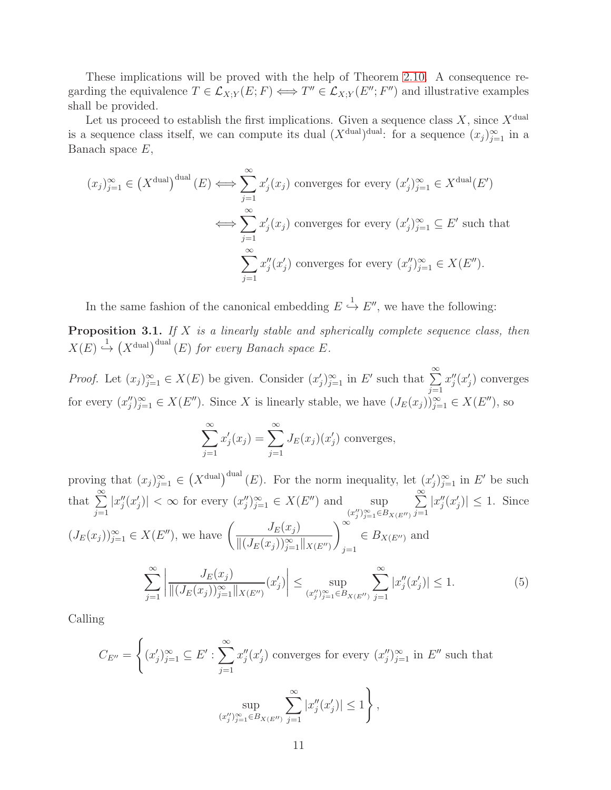These implications will be proved with the help of Theorem [2.10.](#page-7-0) A consequence regarding the equivalence  $T \in \mathcal{L}_{X,Y}(E;F) \iff T'' \in \mathcal{L}_{X,Y}(E'';F'')$  and illustrative examples shall be provided.

Let us proceed to establish the first implications. Given a sequence class  $X$ , since  $X^{\text{dual}}$ is a sequence class itself, we can compute its dual  $(X^{\text{dual}})^{\text{dual}}$ : for a sequence  $(x_j)_{j=1}^{\infty}$  in a Banach space  $E$ ,

$$
(x_j)_{j=1}^{\infty} \in (X^{\text{dual}})^{\text{dual}}(E) \Longleftrightarrow \sum_{j=1}^{\infty} x'_j(x_j) \text{ converges for every } (x'_j)_{j=1}^{\infty} \in X^{\text{dual}}(E')
$$

$$
\Longleftrightarrow \sum_{j=1}^{\infty} x'_j(x_j) \text{ converges for every } (x'_j)_{j=1}^{\infty} \subseteq E' \text{ such that}
$$

$$
\sum_{j=1}^{\infty} x''_j(x'_j) \text{ converges for every } (x''_j)_{j=1}^{\infty} \in X(E'').
$$

In the same fashion of the canonical embedding  $E \stackrel{1}{\hookrightarrow} E''$ , we have the following:

<span id="page-10-1"></span>Proposition 3.1. *If* X *is a linearly stable and spherically complete sequence class, then*  $X(E) \stackrel{1}{\hookrightarrow} (X^{\text{dual}})(E)$  *for every Banach space E*.

*Proof.* Let  $(x_j)_{j=1}^{\infty} \in X(E)$  be given. Consider  $(x'_j)_{j=1}^{\infty}$  in E' such that  $\sum_{j=1}^{\infty}$  $j=1$  $x''_j(x'_j)$  converges for every  $(x''_j)_{j=1}^{\infty} \in X(E'')$ . Since X is linearly stable, we have  $(J_E(x_j))_{j=1}^{\infty} \in X(E'')$ , so

$$
\sum_{j=1}^{\infty} x'_j(x_j) = \sum_{j=1}^{\infty} J_E(x_j)(x'_j)
$$
 converges,

proving that  $(x_j)_{j=1}^{\infty} \in (X^{\text{dual}})^{\text{dual}}(E)$ . For the norm inequality, let  $(x'_j)_{j=1}^{\infty}$  in E' be such that  $\sum^{\infty}$  $j=1$  $|x''_j(x'_j)| < \infty$  for every  $(x''_j)_{j=1}^{\infty} \in X(E'')$  and  $\sup_{(x''_j)_{j=1}^{\infty} \in B_{X(E'')} }$  $\sum_{i=1}^{\infty}$  $j=1$  $|x''_j(x'_j)| \leq 1$ . Since  $(J_E(x_j))_{j=1}^{\infty} \in X(E'')$ , we have  $\left(\frac{J_E(x_j)}{\prod (J_E(x_j))\infty}\right)$  $||(J_E(x_j))_{j=1}^{\infty}||_{X(E'')}$ <sup>∞</sup>  $j=1$  $\in B_{X(E'')}$  and  $\sum^{\infty}$  $j=1$   $J_E(x_j)$  $||(J_E(x_j))_{j=1}^{\infty}||_{X(E'')}$  $(x'_j)$  ≤ sup  $(x''_j)_{j=1}^{\infty} \in B_{X(E'')}$  $\sum^{\infty}$  $j=1$  $|x''_j(x'_j)| \le 1.$  (5)

Calling

<span id="page-10-0"></span>
$$
C_{E''} = \left\{ (x'_j)_{j=1}^{\infty} \subseteq E' : \sum_{j=1}^{\infty} x''_j(x'_j) \text{ converges for every } (x''_j)_{j=1}^{\infty} \text{ in } E'' \text{ such that}
$$

$$
\sup_{(x''_j)_{j=1}^{\infty} \in B_{X(E'')}} \sum_{j=1}^{\infty} |x''_j(x'_j)| \le 1 \right\},
$$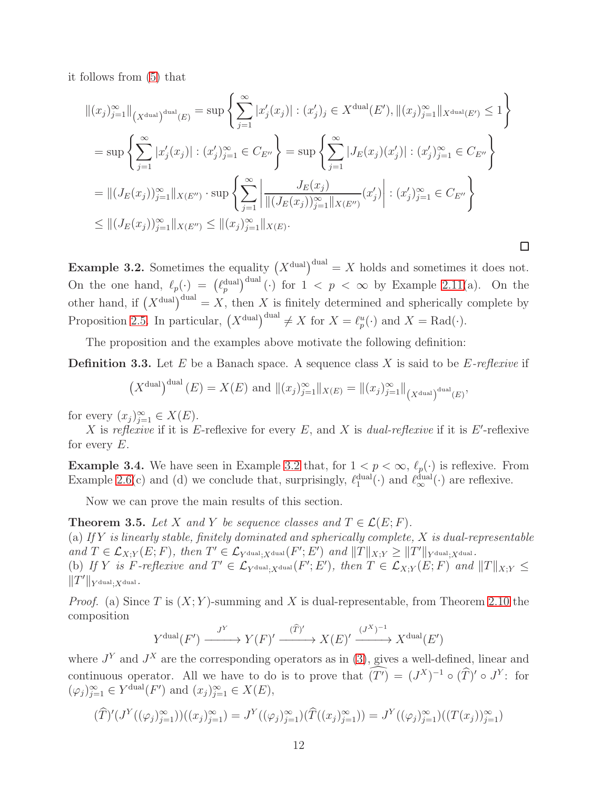it follows from [\(5\)](#page-10-0) that

$$
\|(x_j)_{j=1}^{\infty}\|_{(X^{\text{dual}})^{\text{dual}}(E)} = \sup \left\{ \sum_{j=1}^{\infty} |x'_j(x_j)| : (x'_j)_j \in X^{\text{dual}}(E'), \|(x_j)_{j=1}^{\infty}\|_{X^{\text{dual}}(E')} \le 1 \right\}
$$
  
\n
$$
= \sup \left\{ \sum_{j=1}^{\infty} |x'_j(x_j)| : (x'_j)_{j=1}^{\infty} \in C_{E''} \right\} = \sup \left\{ \sum_{j=1}^{\infty} |J_E(x_j)(x'_j)| : (x'_j)_{j=1}^{\infty} \in C_{E''} \right\}
$$
  
\n
$$
= \|(J_E(x_j))_{j=1}^{\infty}\|_{X(E'')} \cdot \sup \left\{ \sum_{j=1}^{\infty} \left| \frac{J_E(x_j)}{\|(J_E(x_j))_{j=1}^{\infty}\|_{X(E'')}} (x'_j) \right| : (x'_j)_{j=1}^{\infty} \in C_{E''} \right\}
$$
  
\n
$$
\leq \|(J_E(x_j))_{j=1}^{\infty}\|_{X(E'')} \leq \|(x_j)_{j=1}^{\infty}\|_{X(E)}.
$$

<span id="page-11-0"></span>**Example 3.2.** Sometimes the equality  $(X^{\text{dual}})$ <sup>dual</sup> = X holds and sometimes it does not. On the one hand,  $\ell_p(\cdot) = (\ell_p^{\text{dual}})^{\text{dual}}(\cdot)$  for  $1 < p < \infty$  by Example [2.11\(](#page-9-0)a). On the other hand, if  $(X^{\text{dual}})$ <sup>dual</sup> = X, then X is finitely determined and spherically complete by Proposition [2.5.](#page-4-0) In particular,  $(X^{\text{dual}})^{\text{dual}} \neq X$  for  $X = \ell_p^u(\cdot)$  and  $X = \text{Rad}(\cdot)$ .

 $\Box$ 

The proposition and the examples above motivate the following definition:

Definition 3.3. Let E be a Banach space. A sequence class X is said to be E*-reflexive* if

$$
(X^{\text{dual}})^{\text{dual}}(E) = X(E) \text{ and } ||(x_j)_{j=1}^{\infty}||_{X(E)} = ||(x_j)_{j=1}^{\infty}||_{(X^{\text{dual}})^{\text{dual}}(E)},
$$

for every  $(x_j)_{j=1}^{\infty} \in X(E)$ .

X is *reflexive* if it is  $E$ -reflexive for every  $E$ , and  $X$  is *dual-reflexive* if it is  $E'$ -reflexive for every  $E$ .

**Example 3.4.** We have seen in Example [3.2](#page-11-0) that, for  $1 < p < \infty$ ,  $\ell_p(\cdot)$  is reflexive. From Example [2.6\(](#page-5-0)c) and (d) we conclude that, surprisingly,  $\ell_1^{\text{dual}}(\cdot)$  and  $\ell_{\infty}^{\text{dual}}(\cdot)$  are reflexive.

Now we can prove the main results of this section.

<span id="page-11-1"></span>**Theorem 3.5.** Let X and Y be sequence classes and  $T \in \mathcal{L}(E; F)$ . (a) *If* Y *is linearly stable, finitely dominated and spherically complete,* X *is dual-representable*  $and T \in \mathcal{L}_{X,Y}(E;F), \ then \ T' \in \mathcal{L}_{Y^{\text{dual}};X^{\text{dual}}}(F';E') \ and \|T\|_{X;Y} \geq \|T'\|_{Y^{\text{dual}};X^{\text{dual}}}.$ (b) If Y is F-reflexive and  $T' \in \mathcal{L}_{Y^{\text{dual}};X^{\text{dual}}}(F'; E')$ , then  $T \in \mathcal{L}_{X,Y}(E; F)$  and  $||T||_{X;Y} \leq$  $||T'||_{Y^{\text{dual}};X^{\text{dual}}}.$ 

*Proof.* (a) Since T is  $(X; Y)$ -summing and X is dual-representable, from Theorem [2.10](#page-7-0) the composition

$$
Y^{\text{dual}}(F') \xrightarrow{J^Y} Y(F)' \xrightarrow{(\widehat{T})'} X(E)' \xrightarrow{(J^X)^{-1}} X^{\text{dual}}(E')
$$

where  $J<sup>Y</sup>$  and  $J<sup>X</sup>$  are the corresponding operators as in [\(3\)](#page-7-1), gives a well-defined, linear and continuous operator. All we have to do is to prove that  $(T') = (J^X)^{-1} \circ (T)' \circ J^Y$ : for  $(\varphi_j)_{j=1}^{\infty} \in Y^{\text{dual}}(F')$  and  $(x_j)_{j=1}^{\infty} \in X(E)$ ,

$$
(\widehat{T})'(J^Y((\varphi_j)_{j=1}^{\infty}))((x_j)_{j=1}^{\infty}) = J^Y((\varphi_j)_{j=1}^{\infty})(\widehat{T}((x_j)_{j=1}^{\infty})) = J^Y((\varphi_j)_{j=1}^{\infty})((T(x_j)_{j=1}^{\infty}))
$$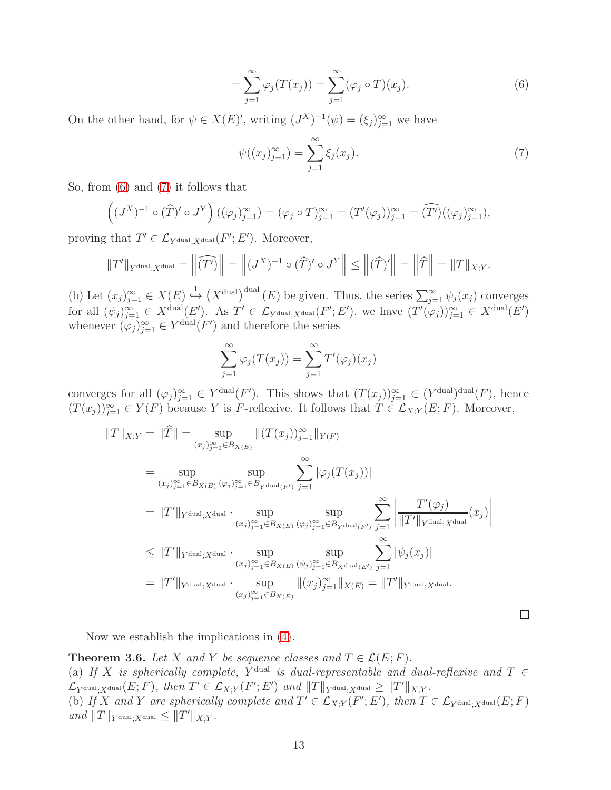$$
= \sum_{j=1}^{\infty} \varphi_j(T(x_j)) = \sum_{j=1}^{\infty} (\varphi_j \circ T)(x_j).
$$
 (6)

On the other hand, for  $\psi \in X(E)'$ , writing  $(J^X)^{-1}(\psi) = (\xi_j)_{j=1}^{\infty}$  we have

<span id="page-12-1"></span><span id="page-12-0"></span>
$$
\psi((x_j)_{j=1}^{\infty}) = \sum_{j=1}^{\infty} \xi_j(x_j). \tag{7}
$$

 $\Box$ 

So, from [\(6\)](#page-12-0) and [\(7\)](#page-12-1) it follows that

$$
\left((J^X)^{-1}\circ(\widehat{T})'\circ J^Y\right)((\varphi_j)_{j=1}^\infty)=(\varphi_j\circ T)_{j=1}^\infty=(T'(\varphi_j))_{j=1}^\infty=(\widehat{T'})((\varphi_j)_{j=1}^\infty),
$$

proving that  $T' \in \mathcal{L}_{Y^{\text{dual}};X^{\text{dual}}}(F'; E')$ . Moreover,

$$
||T'||_{Y^{\text{dual}};X^{\text{dual}}} = ||\widehat{(T')}|| = ||(J^X)^{-1} \circ (\widehat{T})' \circ J^Y|| \le ||(\widehat{T})'|| = ||\widehat{T}|| = ||T||_{X;Y}.
$$

(b) Let  $(x_j)_{j=1}^{\infty} \in X(E) \stackrel{1}{\hookrightarrow} (X^{\text{dual}})^{\text{dual}}(E)$  be given. Thus, the series  $\sum_{j=1}^{\infty} \psi_j(x_j)$  converges for all  $(\psi_j)_{j=1}^{\infty} \in X^{\text{dual}}(E')$ . As  $T' \in \mathcal{L}_{Y^{\text{dual}};X^{\text{dual}}}(F';E')$ , we have  $(T'(\varphi_j))_{j=1}^{\infty} \in X^{\text{dual}}(E')$ whenever  $(\varphi_j)_{j=1}^{\infty} \in Y^{\text{dual}}(F')$  and therefore the series

$$
\sum_{j=1}^{\infty} \varphi_j(T(x_j)) = \sum_{j=1}^{\infty} T'(\varphi_j)(x_j)
$$

converges for all  $(\varphi_j)_{j=1}^{\infty} \in Y^{\text{dual}}(F')$ . This shows that  $(T(x_j))_{j=1}^{\infty} \in (Y^{\text{dual}})^{\text{dual}}(F)$ , hence  $(T(x_j))_{j=1}^{\infty} \in Y(F)$  because Y is F-reflexive. It follows that  $T \in \mathcal{L}_{X,Y}(E;F)$ . Moreover,

$$
||T||_{X;Y} = ||\hat{T}|| = \sup_{(x_j)_{j=1}^{\infty} \in B_{X(E)}} ||(T(x_j))_{j=1}^{\infty}||_{Y(F)}
$$
  
\n
$$
= \sup_{(x_j)_{j=1}^{\infty} \in B_{X(E)}} \sup_{(\varphi_j)_{j=1}^{\infty} \in B_{Y^{\text{dual}}(F')}} \sum_{j=1}^{\infty} |\varphi_j(T(x_j))|
$$
  
\n
$$
= ||T'||_{Y^{\text{dual}};X^{\text{dual}}} \cdot \sup_{(x_j)_{j=1}^{\infty} \in B_{X(E)}} \sup_{(\varphi_j)_{j=1}^{\infty} \in B_{Y^{\text{dual}}(F')}} \sum_{j=1}^{\infty} \left| \frac{T'(\varphi_j)}{||T'||_{Y^{\text{dual}};X^{\text{dual}}}}(x_j) \right|
$$
  
\n
$$
\leq ||T'||_{Y^{\text{dual}};X^{\text{dual}}} \cdot \sup_{(x_j)_{j=1}^{\infty} \in B_{X(E)}} \sup_{(\psi_j)_{j=1}^{\infty} \in B_{X^{\text{dual}}(E')}} \sum_{j=1}^{\infty} |\psi_j(x_j)|
$$
  
\n
$$
= ||T'||_{Y^{\text{dual}};X^{\text{dual}}} \cdot \sup_{(x_j)_{j=1}^{\infty} \in B_{X(E)}} ||(x_j)_{j=1}^{\infty}||_{X(E)} = ||T'||_{Y^{\text{dual}};X^{\text{dual}}}.
$$

Now we establish the implications in [\(4\)](#page-9-1).

<span id="page-12-2"></span>**Theorem 3.6.** *Let* X and Y *be sequence classes and*  $T \in \mathcal{L}(E; F)$ *.* (a) If X is spherically complete, Y<sup>dual</sup> is dual-representable and dual-reflexive and  $T \in$  $\mathcal{L}_{Y^{\text{dual}};X^{\text{dual}}}(E;F)$ *, then*  $T' \in \mathcal{L}_{X;Y}(F';E')$  and  $||T||_{Y^{\text{dual}};X^{\text{dual}}} \geq ||T'||_{X;Y}$ *.* (b) If X and Y are spherically complete and  $T' \in \mathcal{L}_{X;Y}(F';E')$ , then  $T \in \mathcal{L}_{Y^{\text{dual}};X^{\text{dual}}}(E;F)$  $and$   $||T||_{Y^{\text{dual}};X^{\text{dual}}} \leq ||T'||_{X;Y}$ .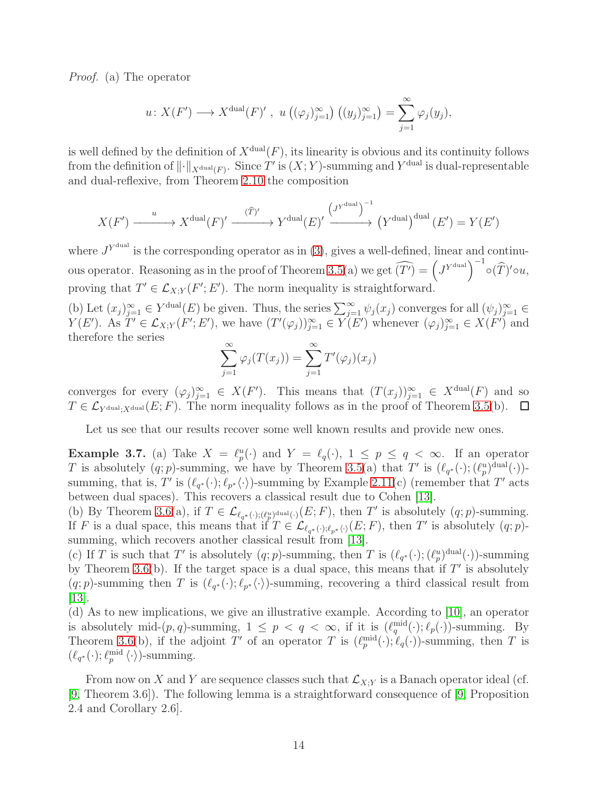*Proof.* (a) The operator

$$
u\colon X(F')\longrightarrow X^{\text{dual}}(F)'\ ,\ u\left((\varphi_j)_{j=1}^\infty\right)\left((y_j)_{j=1}^\infty\right)=\sum_{j=1}^\infty\varphi_j(y_j),
$$

is well defined by the definition of  $X^{\text{dual}}(F)$ , its linearity is obvious and its continuity follows from the definition of  $\lVert \cdot \rVert_{X^{\operatorname{dual}}(F)}$ . Since T' is  $(X; Y)$ -summing and  $Y^{\operatorname{dual}}$  is dual-representable and dual-reflexive, from Theorem [2.10](#page-7-0) the composition

$$
X(F') \xrightarrow{u} X^{\text{dual}}(F)' \xrightarrow{(\hat{T})'} Y^{\text{dual}}(E)' \xrightarrow{\left(J^{Y^{\text{dual}}}\right)^{-1}} (Y^{\text{dual}})(E') = Y(E')
$$

where  $J^{Y^{\text{dual}}}$  is the corresponding operator as in [\(3\)](#page-7-1), gives a well-defined, linear and continu-ous operator. Reasoning as in the proof of Theorem [3.5\(](#page-11-1)a) we get  $\widehat{(T')} = \left(J^{Y^{\text{dual}}}\right)^{-1} \circ (\widehat{T})' \circ u$ , proving that  $T' \in \mathcal{L}_{X,Y}(F'; E')$ . The norm inequality is straightforward.

(b) Let  $(x_j)_{j=1}^{\infty} \in Y^{\text{dual}}(E)$  be given. Thus, the series  $\sum_{j=1}^{\infty} \psi_j(x_j)$  converges for all  $(\psi_j)_{j=1}^{\infty} \in Y$  $Y(E')$ . As  $T' \in \mathcal{L}_{X,Y}(F'; E')$ , we have  $(T'(\varphi_j))_{j=1}^{\infty} \in Y(E')$  whenever  $(\varphi_j)_{j=1}^{\infty} \in X(F')$  and therefore the series

$$
\sum_{j=1}^{\infty} \varphi_j(T(x_j)) = \sum_{j=1}^{\infty} T'(\varphi_j)(x_j)
$$

converges for every  $(\varphi_j)_{j=1}^{\infty} \in X(F')$ . This means that  $(T(x_j))_{j=1}^{\infty} \in X^{\text{dual}}(F)$  and so  $T \in \mathcal{L}_{\text{Ydual},\text{Ydual}}(E; F)$ . The norm inequality follows as in the proof of Theorem [3.5\(](#page-11-1)b).  $\Box$ 

Let us see that our results recover some well known results and provide new ones.

**Example 3.7.** (a) Take  $X = \ell_p^u(\cdot)$  and  $Y = \ell_q(\cdot)$ ,  $1 \leq p \leq q < \infty$ . If an operator T is absolutely  $(q;p)$ -summing, we have by Theorem [3.5\(](#page-11-1)a) that T' is  $(\ell_{q^*}(\cdot); (\ell_p^u)^{\text{dual}}(\cdot))$ summing, that is, T' is  $(\ell_{q^*}(\cdot);\ell_{p^*}\langle \cdot \rangle)$ -summing by Example [2.11\(](#page-9-0)c) (remember that T' acts between dual spaces). This recovers a classical result due to Cohen [\[13\]](#page-15-9).

(b) By Theorem [3.6\(](#page-12-2)a), if  $T \in \mathcal{L}_{\ell_q^*(\cdot);(\ell_p^u)^{\text{dual}}(\cdot)}(E;F)$ , then T' is absolutely  $(q;p)$ -summing. If F is a dual space, this means that if  $T \in \mathcal{L}_{\ell_{q^*}(\cdot),\ell_{p^*}(\cdot)}(E;F)$ , then T' is absolutely  $(q;p)$ -summing, which recovers another classical result from [\[13\]](#page-15-9).

(c) If T is such that T' is absolutely  $(q;p)$ -summing, then T is  $(\ell_{q^*}(\cdot), (\ell_p^u)^{\text{dual}}(\cdot))$ -summing by Theorem [3.6\(](#page-12-2)b). If the target space is a dual space, this means that if  $T'$  is absolutely  $(q; p)$ -summing then T is  $(\ell_{q^*}(\cdot); \ell_{p^*}(\cdot))$ -summing, recovering a third classical result from  $|13|$ .

(d) As to new implications, we give an illustrative example. According to [\[10\]](#page-14-6), an operator is absolutely mid- $(p, q)$ -summing,  $1 \leq p < q < \infty$ , if it is  $(\ell_q^{\text{mid}}(\cdot); \ell_p(\cdot))$ -summing. By Theorem [3.6\(](#page-12-2)b), if the adjoint T' of an operator T is  $(\ell_p^{\text{mid}}(\cdot);\ell_q(\cdot))$ -summing, then T is  $(\ell_{q^*}(\cdot); \ell_p^{\text{mid}} \langle \cdot \rangle)$ -summing.

From now on X and Y are sequence classes such that  $\mathcal{L}_{X,Y}$  is a Banach operator ideal (cf. [\[9,](#page-14-5) Theorem 3.6]). The following lemma is a straightforward consequence of [\[9,](#page-14-5) Proposition 2.4 and Corollary 2.6].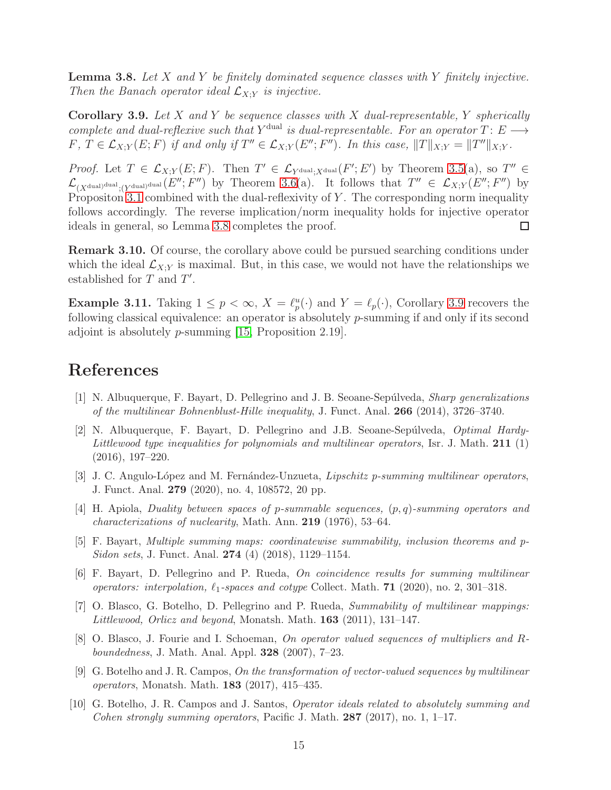<span id="page-14-10"></span>Lemma 3.8. *Let* X *and* Y *be finitely dominated sequence classes with* Y *finitely injective. Then the Banach operator ideal*  $\mathcal{L}_{X,Y}$  *is injective.* 

<span id="page-14-11"></span>Corollary 3.9. *Let* X *and* Y *be sequence classes with* X *dual-representable,* Y *spherically complete and dual-reflexive such that*  $Y^{\text{dual}}$  *is dual-representable. For an operator*  $T: E \longrightarrow$  $F, T \in \mathcal{L}_{X,Y}(E; F)$  if and only if  $T'' \in \mathcal{L}_{X,Y}(E''; F'')$ . In this case,  $||T||_{X;Y} = ||T''||_{X;Y}$ .

*Proof.* Let  $T \in \mathcal{L}_{X,Y}(E;F)$ . Then  $T' \in \mathcal{L}_{Y^{\text{dual}};X^{\text{dual}}}(F';E')$  by Theorem [3.5\(](#page-11-1)a), so  $T'' \in$  $\mathcal{L}_{(X^{\text{dual})^{\text{dual}}};(Y^{\text{dual}})}(E'';F'')$  by Theorem [3.6\(](#page-12-2)a). It follows that  $T'' \in \mathcal{L}_{X;Y}(E'';F'')$  by Propositon [3.1](#page-10-1) combined with the dual-reflexivity of  $Y$ . The corresponding norm inequality follows accordingly. The reverse implication/norm inequality holds for injective operator ideals in general, so Lemma [3.8](#page-14-10) completes the proof.  $\Box$ 

Remark 3.10. Of course, the corollary above could be pursued searching conditions under which the ideal  $\mathcal{L}_{X;Y}$  is maximal. But, in this case, we would not have the relationships we established for  $T$  and  $T'$ .

**Example 3.11.** Taking  $1 \leq p < \infty$ ,  $X = \ell_p^u(\cdot)$  and  $Y = \ell_p(\cdot)$ , Corollary [3.9](#page-14-11) recovers the following classical equivalence: an operator is absolutely p-summing if and only if its second adjoint is absolutely *p*-summing  $|15$ , Proposition 2.19.

### <span id="page-14-0"></span>References

- <span id="page-14-1"></span>[1] N. Albuquerque, F. Bayart, D. Pellegrino and J. B. Seoane-Sep´ulveda, Sharp generalizations of the multilinear Bohnenblust-Hille inequality, J. Funct. Anal. 266 (2014), 3726–3740.
- [2] N. Albuquerque, F. Bayart, D. Pellegrino and J.B. Seoane-Sepúlveda, *Optimal Hardy*-Littlewood type inequalities for polynomials and multilinear operators, Isr. J. Math. 211 (1) (2016), 197–220.
- <span id="page-14-7"></span><span id="page-14-2"></span>[3] J. C. Angulo-López and M. Fernández-Unzueta, *Lipschitz p-summing multilinear operators*, J. Funct. Anal. 279 (2020), no. 4, 108572, 20 pp.
- <span id="page-14-3"></span>[4] H. Apiola, Duality between spaces of p-summable sequences, (p, q)-summing operators and characterizations of nuclearity, Math. Ann. 219 (1976), 53–64.
- <span id="page-14-4"></span>[5] F. Bayart, Multiple summing maps: coordinatewise summability, inclusion theorems and p-Sidon sets, J. Funct. Anal. 274 (4) (2018), 1129–1154.
- <span id="page-14-8"></span>[6] F. Bayart, D. Pellegrino and P. Rueda, On coincidence results for summing multilinear operators: interpolation,  $\ell_1$ -spaces and cotype Collect. Math. **71** (2020), no. 2, 301–318.
- <span id="page-14-9"></span>[7] O. Blasco, G. Botelho, D. Pellegrino and P. Rueda, Summability of multilinear mappings: Littlewood, Orlicz and beyond, Monatsh. Math. 163 (2011), 131–147.
- <span id="page-14-5"></span>[8] O. Blasco, J. Fourie and I. Schoeman, On operator valued sequences of multipliers and Rboundedness, J. Math. Anal. Appl. 328 (2007), 7–23.
- <span id="page-14-6"></span>[9] G. Botelho and J. R. Campos, On the transformation of vector-valued sequences by multilinear operators, Monatsh. Math. 183 (2017), 415–435.
- [10] G. Botelho, J. R. Campos and J. Santos, Operator ideals related to absolutely summing and Cohen strongly summing operators, Pacific J. Math. 287 (2017), no. 1, 1–17.